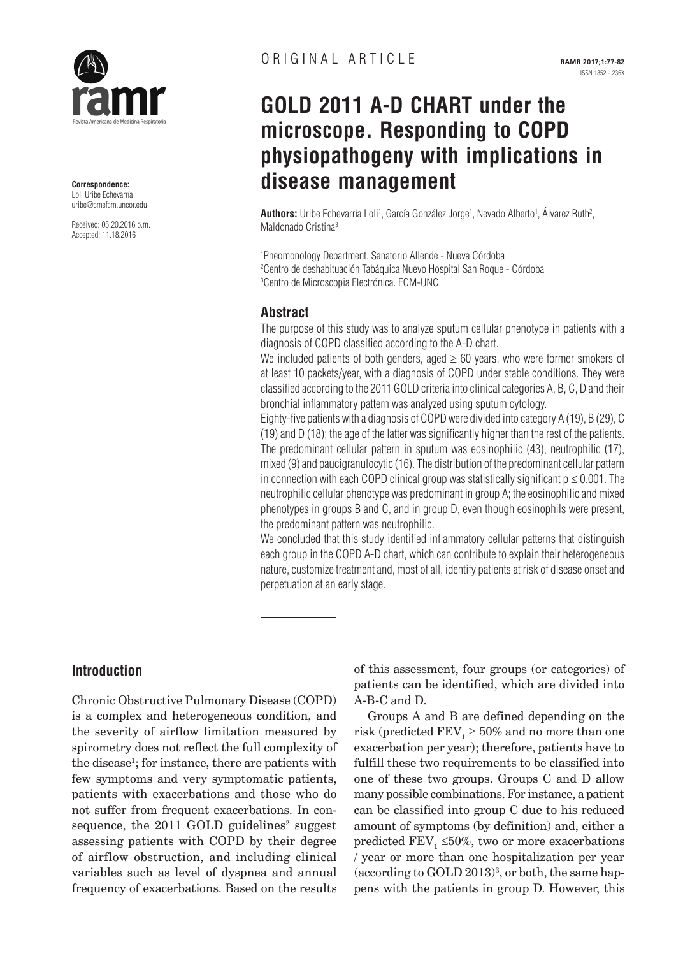

**Correspondence:**  Loli Uribe Echevarría [uribe@cmefcm.uncor.edu](mailto:uribe@cmefcm.uncor.edu)

Received: 05.20.2016 p.m. Accepted: 11.18.2016

# **GOLD 2011 A-D CHART under the microscope. Responding to COPD physiopathogeny with implications in disease management**

**Authors:** Uribe Echevarría Loli<sup>1</sup>, García González Jorge<sup>1</sup>, Nevado Alberto<sup>1</sup>, Alvarez Ruth<sup>2</sup>, Maldonado Cristina3

1 Pneomonology Department. Sanatorio Allende - Nueva Córdoba 2 Centro de deshabituación Tabáquica Nuevo Hospital San Roque - Córdoba 3 Centro de Microscopia Electrónica. FCM-UNC

# **Abstract**

The purpose of this study was to analyze sputum cellular phenotype in patients with a diagnosis of COPD classified according to the A-D chart.

We included patients of both genders, aged  $\geq 60$  years, who were former smokers of at least 10 packets/year, with a diagnosis of COPD under stable conditions. They were classified according to the 2011 GOLD criteria into clinical categories A, B, C, D and their bronchial inflammatory pattern was analyzed using sputum cytology.

Eighty-five patients with a diagnosis of COPD were divided into category A (19), B (29), C (19) and D (18); the age of the latter was significantly higher than the rest of the patients. The predominant cellular pattern in sputum was eosinophilic (43), neutrophilic (17), mixed (9) and paucigranulocytic (16). The distribution of the predominant cellular pattern in connection with each COPD clinical group was statistically significant  $p \le 0.001$ . The neutrophilic cellular phenotype was predominant in group A; the eosinophilic and mixed phenotypes in groups B and C, and in group D, even though eosinophils were present, the predominant pattern was neutrophilic.

We concluded that this study identified inflammatory cellular patterns that distinguish each group in the COPD A-D chart, which can contribute to explain their heterogeneous nature, customize treatment and, most of all, identify patients at risk of disease onset and perpetuation at an early stage.

# **Introduction**

Chronic Obstructive Pulmonary Disease (COPD) is a complex and heterogeneous condition, and the severity of airflow limitation measured by spirometry does not reflect the full complexity of the disease<sup>1</sup>; for instance, there are patients with few symptoms and very symptomatic patients, patients with exacerbations and those who do not suffer from frequent exacerbations. In consequence, the  $2011$  GOLD guidelines<sup>2</sup> suggest assessing patients with COPD by their degree of airflow obstruction, and including clinical variables such as level of dyspnea and annual frequency of exacerbations. Based on the results

of this assessment, four groups (or categories) of patients can be identified, which are divided into A-B-C and D.

Groups A and B are defined depending on the risk (predicted  $\text{FEV}_1 \geq 50\%$  and no more than one exacerbation per year); therefore, patients have to fulfill these two requirements to be classified into one of these two groups. Groups C and D allow many possible combinations. For instance, a patient can be classified into group C due to his reduced amount of symptoms (by definition) and, either a predicted FEV<sub>1</sub>  $\leq$ 50%, two or more exacerbations / year or more than one hospitalization per year  $(\text{according to GOLD }2013)^3, \text{ or both, the same hap-}$ pens with the patients in group D. However, this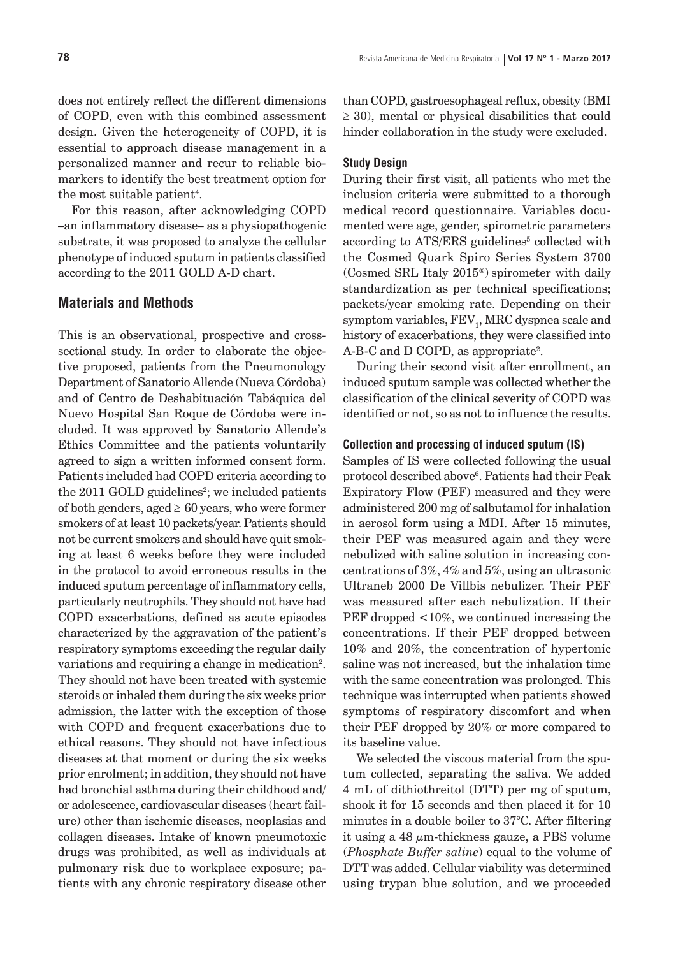does not entirely reflect the different dimensions of COPD, even with this combined assessment design. Given the heterogeneity of COPD, it is essential to approach disease management in a personalized manner and recur to reliable biomarkers to identify the best treatment option for the most suitable patient<sup>4</sup>.

For this reason, after acknowledging COPD –an inflammatory disease– as a physiopathogenic substrate, it was proposed to analyze the cellular phenotype of induced sputum in patients classified according to the 2011 GOLD A-D chart.

## **Materials and Methods**

This is an observational, prospective and crosssectional study. In order to elaborate the objective proposed, patients from the Pneumonology Department of Sanatorio Allende (Nueva Córdoba) and of Centro de Deshabituación Tabáquica del Nuevo Hospital San Roque de Córdoba were included. It was approved by Sanatorio Allende's Ethics Committee and the patients voluntarily agreed to sign a written informed consent form. Patients included had COPD criteria according to the  $2011$  GOLD guidelines<sup>2</sup>; we included patients of both genders, aged  $\geq 60$  years, who were former smokers of at least 10 packets/year. Patients should not be current smokers and should have quit smoking at least 6 weeks before they were included in the protocol to avoid erroneous results in the induced sputum percentage of inflammatory cells, particularly neutrophils. They should not have had COPD exacerbations, defined as acute episodes characterized by the aggravation of the patient's respiratory symptoms exceeding the regular daily variations and requiring a change in medication<sup>2</sup>. They should not have been treated with systemic steroids or inhaled them during the six weeks prior admission, the latter with the exception of those with COPD and frequent exacerbations due to ethical reasons. They should not have infectious diseases at that moment or during the six weeks prior enrolment; in addition, they should not have had bronchial asthma during their childhood and/ or adolescence, cardiovascular diseases (heart failure) other than ischemic diseases, neoplasias and collagen diseases. Intake of known pneumotoxic drugs was prohibited, as well as individuals at pulmonary risk due to workplace exposure; patients with any chronic respiratory disease other

than COPD, gastroesophageal reflux, obesity (BMI  $\geq$  30), mental or physical disabilities that could hinder collaboration in the study were excluded.

#### **Study Design**

During their first visit, all patients who met the inclusion criteria were submitted to a thorough medical record questionnaire. Variables documented were age, gender, spirometric parameters according to ATS/ERS guidelines<sup>5</sup> collected with the Cosmed Quark Spiro Series System 3700 (Cosmed SRL Italy 2015®) spirometer with daily standardization as per technical specifications; packets/year smoking rate. Depending on their symptom variables,  $\rm{FEV}_1\rm{,}$  MRC dyspnea scale and history of exacerbations, they were classified into A-B-C and D COPD, as appropriate<sup>2</sup>.

During their second visit after enrollment, an induced sputum sample was collected whether the classification of the clinical severity of COPD was identified or not, so as not to influence the results.

#### **Collection and processing of induced sputum (IS)**

Samples of IS were collected following the usual protocol described above6 . Patients had their Peak Expiratory Flow (PEF) measured and they were administered 200 mg of salbutamol for inhalation in aerosol form using a MDI. After 15 minutes, their PEF was measured again and they were nebulized with saline solution in increasing concentrations of 3%, 4% and 5%, using an ultrasonic Ultraneb 2000 De Villbis nebulizer. Their PEF was measured after each nebulization. If their PEF dropped <10%, we continued increasing the concentrations. If their PEF dropped between 10% and 20%, the concentration of hypertonic saline was not increased, but the inhalation time with the same concentration was prolonged. This technique was interrupted when patients showed symptoms of respiratory discomfort and when their PEF dropped by 20% or more compared to its baseline value.

We selected the viscous material from the sputum collected, separating the saliva. We added 4 mL of dithiothreitol (DTT) per mg of sputum, shook it for 15 seconds and then placed it for 10 minutes in a double boiler to 37°C. After filtering it using a 48  $\mu$ m-thickness gauze, a PBS volume (*Phosphate Buffer saline*) equal to the volume of DTT was added. Cellular viability was determined using trypan blue solution, and we proceeded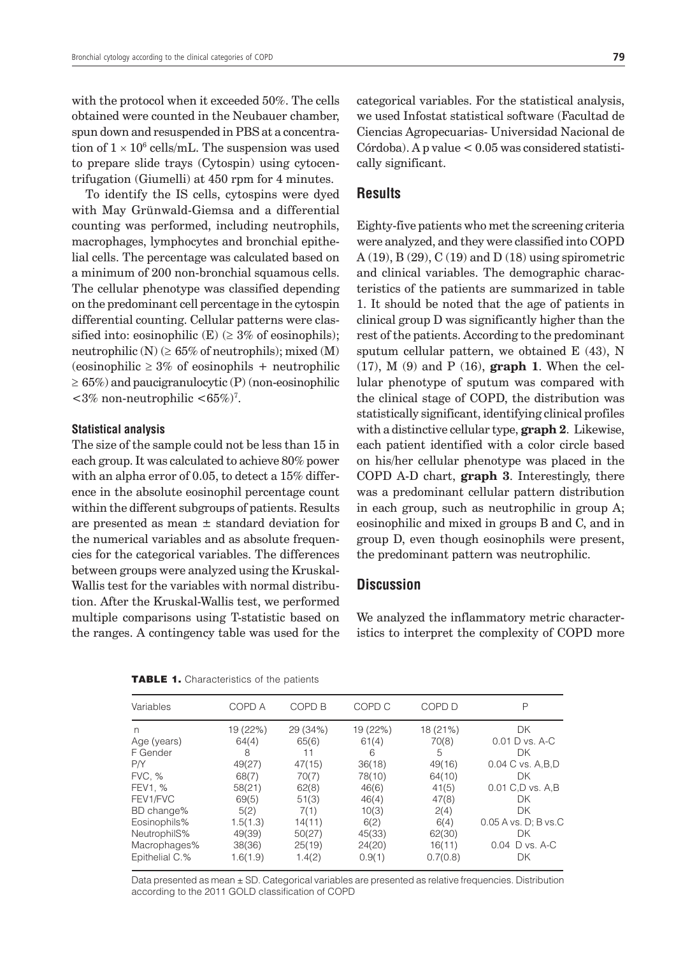with the protocol when it exceeded 50%. The cells obtained were counted in the Neubauer chamber, spun down and resuspended in PBS at a concentration of  $1 \times 10^6$  cells/mL. The suspension was used to prepare slide trays (Cytospin) using cytocentrifugation (Giumelli) at 450 rpm for 4 minutes.

To identify the IS cells, cytospins were dyed with May Grünwald-Giemsa and a differential counting was performed, including neutrophils, macrophages, lymphocytes and bronchial epithelial cells. The percentage was calculated based on a minimum of 200 non-bronchial squamous cells. The cellular phenotype was classified depending on the predominant cell percentage in the cytospin differential counting. Cellular patterns were classified into: eosinophilic (E) ( $\geq$  3% of eosinophils); neutrophilic  $(N)$  ( $\geq 65\%$  of neutrophils); mixed  $(M)$  $(eosinophilic \geq 3\% \text{ of eosinophils } + \text{neutronphilic}$  $\geq 65\%$ ) and paucigranulocytic (P) (non-eosinophilic  $<3\%$  non-neutrophilic  $<65\%)^7$ .

#### **Statistical analysis**

The size of the sample could not be less than 15 in each group. It was calculated to achieve 80% power with an alpha error of 0.05, to detect a 15% difference in the absolute eosinophil percentage count within the different subgroups of patients. Results are presented as mean  $\pm$  standard deviation for the numerical variables and as absolute frequencies for the categorical variables. The differences between groups were analyzed using the Kruskal-Wallis test for the variables with normal distribution. After the Kruskal-Wallis test, we performed multiple comparisons using T-statistic based on the ranges. A contingency table was used for the

categorical variables. For the statistical analysis, we used Infostat statistical software (Facultad de Ciencias Agropecuarias- Universidad Nacional de  $C$ órdoba). A p value  $< 0.05$  was considered statistically significant.

### **Results**

Eighty-five patients who met the screening criteria were analyzed, and they were classified into COPD A (19), B (29), C (19) and D (18) using spirometric and clinical variables. The demographic characteristics of the patients are summarized in table 1. It should be noted that the age of patients in clinical group D was significantly higher than the rest of the patients. According to the predominant sputum cellular pattern, we obtained E (43), N (17), M (9) and P (16), **graph 1**. When the cellular phenotype of sputum was compared with the clinical stage of COPD, the distribution was statistically significant, identifying clinical profiles with a distinctive cellular type, **graph 2**. Likewise, each patient identified with a color circle based on his/her cellular phenotype was placed in the COPD A-D chart, **graph 3**. Interestingly, there was a predominant cellular pattern distribution in each group, such as neutrophilic in group A; eosinophilic and mixed in groups B and C, and in group D, even though eosinophils were present, the predominant pattern was neutrophilic.

#### **Discussion**

We analyzed the inflammatory metric characteristics to interpret the complexity of COPD more

|  | <b>TABLE 1.</b> Characteristics of the patients |  |  |
|--|-------------------------------------------------|--|--|
|--|-------------------------------------------------|--|--|

| Variables      | COPD A   | COPD <sub>B</sub> | COPD C   | COPD D   | P                      |
|----------------|----------|-------------------|----------|----------|------------------------|
| n              | 19 (22%) | 29 (34%)          | 19 (22%) | 18 (21%) | <b>DK</b>              |
| Age (years)    | 64(4)    | 65(6)             | 61(4)    | 70(8)    | 0.01 D vs. A-C         |
| F Gender       | 8        | 11                | 6        | 5        | DK                     |
| P/Y            | 49(27)   | 47(15)            | 36(18)   | 49(16)   | 0.04 C vs. A, B, D     |
| <b>FVC, %</b>  | 68(7)    | 70(7)             | 78(10)   | 64(10)   | DK                     |
| FEV1, %        | 58(21)   | 62(8)             | 46(6)    | 41(5)    | 0.01 C,D vs. A,B       |
| FEV1/FVC       | 69(5)    | 51(3)             | 46(4)    | 47(8)    | DK                     |
| BD change%     | 5(2)     | 7(1)              | 10(3)    | 2(4)     | DK                     |
| Eosinophils%   | 1.5(1.3) | 14(11)            | 6(2)     | 6(4)     | $0.05$ A vs. D; B vs.C |
| NeutrophilS%   | 49(39)   | 50(27)            | 45(33)   | 62(30)   | DK                     |
| Macrophages%   | 38(36)   | 25(19)            | 24(20)   | 16(11)   | 0.04 D vs. A-C         |
| Epithelial C.% | 1.6(1.9) | 1.4(2)            | 0.9(1)   | 0.7(0.8) | DK                     |

Data presented as mean ± SD. Categorical variables are presented as relative frequencies. Distribution according to the 2011 GOLD classification of COPD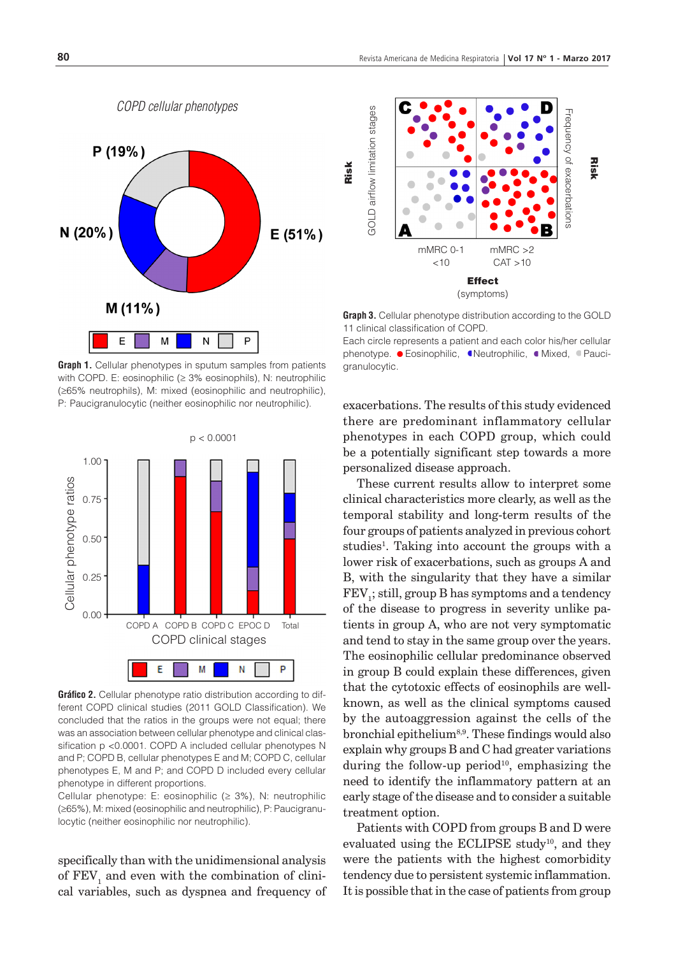

**Graph 1.** Cellular phenotypes in sputum samples from patients with COPD. E: eosinophilic (≥ 3% eosinophils), N: neutrophilic (≥65% neutrophils), M: mixed (eosinophilic and neutrophilic), P: Paucigranulocytic (neither eosinophilic nor neutrophilic).



**Gráfico 2.** Cellular phenotype ratio distribution according to different COPD clinical studies (2011 GOLD Classification). We concluded that the ratios in the groups were not equal; there was an association between cellular phenotype and clinical classification p <0.0001. COPD A included cellular phenotypes N and P; COPD B, cellular phenotypes E and M; COPD C, cellular phenotypes E, M and P; and COPD D included every cellular phenotype in different proportions.

Cellular phenotype: E: eosinophilic ( $\geq$  3%), N: neutrophilic (≥65%), M: mixed (eosinophilic and neutrophilic), P: Paucigranulocytic (neither eosinophilic nor neutrophilic).

specifically than with the unidimensional analysis of  $\text{FEV}_1$  and even with the combination of clinical variables, such as dyspnea and frequency of



**Graph 3.** Cellular phenotype distribution according to the GOLD 11 clinical classification of COPD.

Each circle represents a patient and each color his/her cellular phenotype. **·** Eosinophilic, **·** Neutrophilic, **·** Mixed, **·** Pauci-

exacerbations. The results of this study evidenced there are predominant inflammatory cellular phenotypes in each COPD group, which could be a potentially significant step towards a more personalized disease approach.

These current results allow to interpret some clinical characteristics more clearly, as well as the temporal stability and long-term results of the four groups of patients analyzed in previous cohort studies<sup>1</sup>. Taking into account the groups with a lower risk of exacerbations, such as groups A and B, with the singularity that they have a similar  $\mathrm{FEV}_\mathrm{i};$  still, group B has symptoms and a tendency of the disease to progress in severity unlike patients in group A, who are not very symptomatic and tend to stay in the same group over the years. The eosinophilic cellular predominance observed in group B could explain these differences, given that the cytotoxic effects of eosinophils are wellknown, as well as the clinical symptoms caused by the autoaggression against the cells of the bronchial epithelium<sup>8,9</sup>. These findings would also explain why groups B and C had greater variations during the follow-up period<sup>10</sup>, emphasizing the need to identify the inflammatory pattern at an early stage of the disease and to consider a suitable treatment option.

Patients with COPD from groups B and D were evaluated using the ECLIPSE study<sup>10</sup>, and they were the patients with the highest comorbidity tendency due to persistent systemic inflammation. It is possible that in the case of patients from group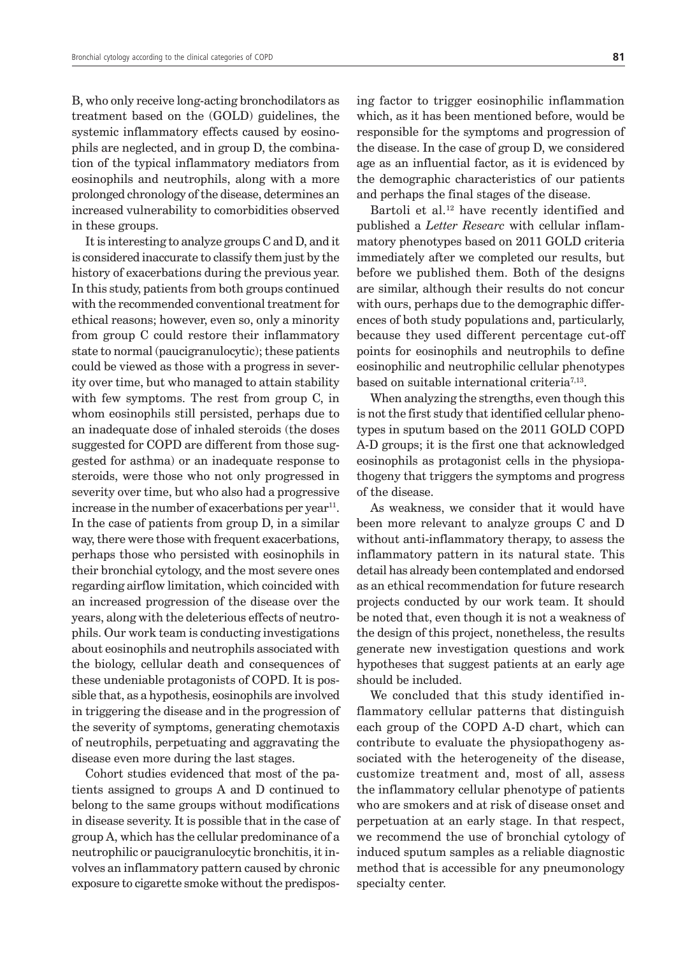B, who only receive long-acting bronchodilators as treatment based on the (GOLD) guidelines, the systemic inflammatory effects caused by eosinophils are neglected, and in group D, the combination of the typical inflammatory mediators from eosinophils and neutrophils, along with a more prolonged chronology of the disease, determines an increased vulnerability to comorbidities observed in these groups.

It is interesting to analyze groups C and D, and it is considered inaccurate to classify them just by the history of exacerbations during the previous year. In this study, patients from both groups continued with the recommended conventional treatment for ethical reasons; however, even so, only a minority from group C could restore their inflammatory state to normal (paucigranulocytic); these patients could be viewed as those with a progress in severity over time, but who managed to attain stability with few symptoms. The rest from group C, in whom eosinophils still persisted, perhaps due to an inadequate dose of inhaled steroids (the doses suggested for COPD are different from those suggested for asthma) or an inadequate response to steroids, were those who not only progressed in severity over time, but who also had a progressive increase in the number of exacerbations per year<sup>11</sup>. In the case of patients from group D, in a similar way, there were those with frequent exacerbations, perhaps those who persisted with eosinophils in their bronchial cytology, and the most severe ones regarding airflow limitation, which coincided with an increased progression of the disease over the years, along with the deleterious effects of neutrophils. Our work team is conducting investigations about eosinophils and neutrophils associated with the biology, cellular death and consequences of these undeniable protagonists of COPD. It is possible that, as a hypothesis, eosinophils are involved in triggering the disease and in the progression of the severity of symptoms, generating chemotaxis of neutrophils, perpetuating and aggravating the disease even more during the last stages.

Cohort studies evidenced that most of the patients assigned to groups A and D continued to belong to the same groups without modifications in disease severity. It is possible that in the case of group A, which has the cellular predominance of a neutrophilic or paucigranulocytic bronchitis, it involves an inflammatory pattern caused by chronic exposure to cigarette smoke without the predisposing factor to trigger eosinophilic inflammation which, as it has been mentioned before, would be responsible for the symptoms and progression of the disease. In the case of group D, we considered age as an influential factor, as it is evidenced by the demographic characteristics of our patients and perhaps the final stages of the disease.

Bartoli et al.<sup>12</sup> have recently identified and published a *Letter Researc* with cellular inflammatory phenotypes based on 2011 GOLD criteria immediately after we completed our results, but before we published them. Both of the designs are similar, although their results do not concur with ours, perhaps due to the demographic differences of both study populations and, particularly, because they used different percentage cut-off points for eosinophils and neutrophils to define eosinophilic and neutrophilic cellular phenotypes based on suitable international criteria<sup> $7,13$ </sup>.

When analyzing the strengths, even though this is not the first study that identified cellular phenotypes in sputum based on the 2011 GOLD COPD A-D groups; it is the first one that acknowledged eosinophils as protagonist cells in the physiopathogeny that triggers the symptoms and progress of the disease.

As weakness, we consider that it would have been more relevant to analyze groups C and D without anti-inflammatory therapy, to assess the inflammatory pattern in its natural state. This detail has already been contemplated and endorsed as an ethical recommendation for future research projects conducted by our work team. It should be noted that, even though it is not a weakness of the design of this project, nonetheless, the results generate new investigation questions and work hypotheses that suggest patients at an early age should be included.

We concluded that this study identified inflammatory cellular patterns that distinguish each group of the COPD A-D chart, which can contribute to evaluate the physiopathogeny associated with the heterogeneity of the disease, customize treatment and, most of all, assess the inflammatory cellular phenotype of patients who are smokers and at risk of disease onset and perpetuation at an early stage. In that respect, we recommend the use of bronchial cytology of induced sputum samples as a reliable diagnostic method that is accessible for any pneumonology specialty center.